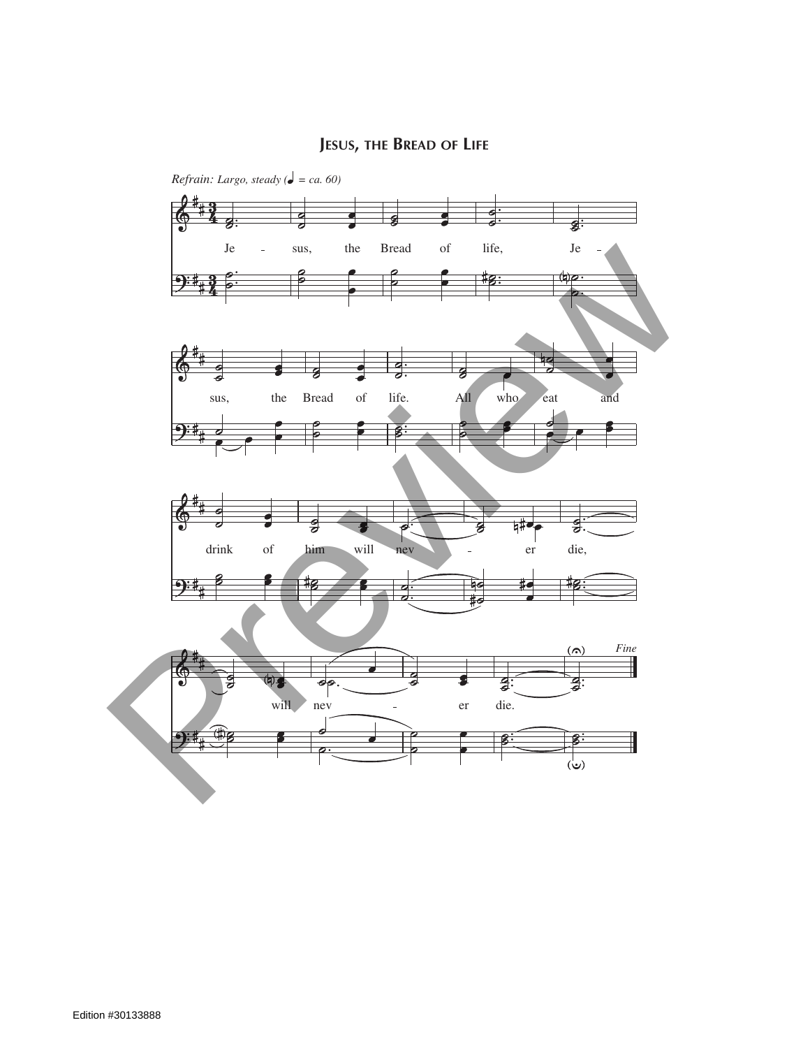## **Jesus, the Bread of Life**